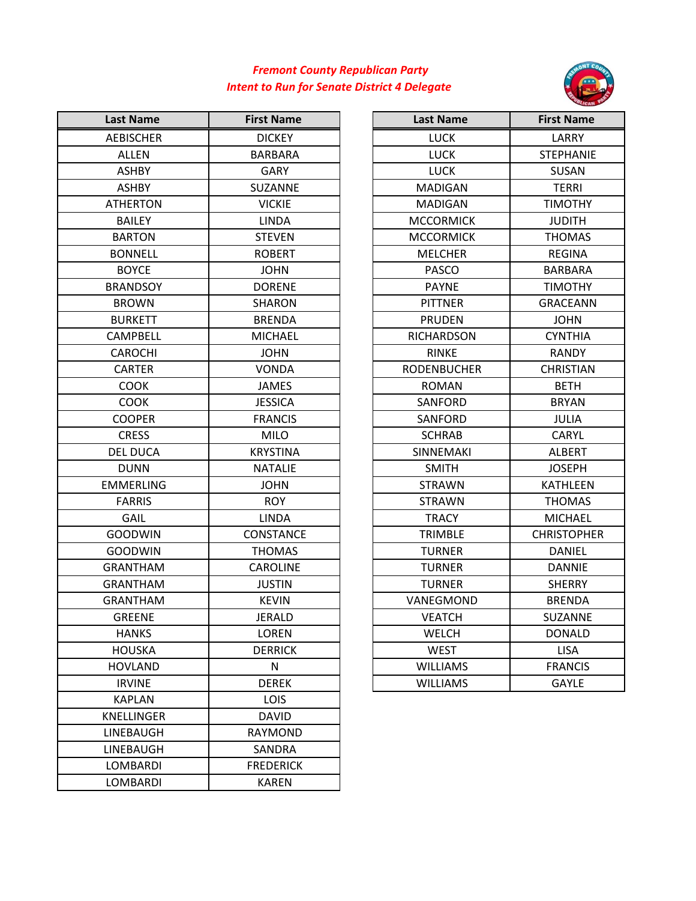## *Fremont County Republican Party Intent to Run for Senate District 4 Delegate*



| <b>Last Name</b>  | <b>First Name</b> | <b>Last Name</b>   | <b>First Name</b>  |
|-------------------|-------------------|--------------------|--------------------|
| <b>AEBISCHER</b>  | <b>DICKEY</b>     | <b>LUCK</b>        | LARRY              |
| <b>ALLEN</b>      | <b>BARBARA</b>    | <b>LUCK</b>        | <b>STEPHANIE</b>   |
| <b>ASHBY</b>      | <b>GARY</b>       | <b>LUCK</b>        | <b>SUSAN</b>       |
| <b>ASHBY</b>      | <b>SUZANNE</b>    | <b>MADIGAN</b>     | <b>TERRI</b>       |
| <b>ATHERTON</b>   | <b>VICKIE</b>     | <b>MADIGAN</b>     | <b>TIMOTHY</b>     |
| <b>BAILEY</b>     | <b>LINDA</b>      | <b>MCCORMICK</b>   | <b>JUDITH</b>      |
| <b>BARTON</b>     | <b>STEVEN</b>     | <b>MCCORMICK</b>   | <b>THOMAS</b>      |
| <b>BONNELL</b>    | <b>ROBERT</b>     | <b>MELCHER</b>     | <b>REGINA</b>      |
| <b>BOYCE</b>      | <b>JOHN</b>       | <b>PASCO</b>       | <b>BARBARA</b>     |
| <b>BRANDSOY</b>   | <b>DORENE</b>     | <b>PAYNE</b>       | <b>TIMOTHY</b>     |
| <b>BROWN</b>      | <b>SHARON</b>     | <b>PITTNER</b>     | <b>GRACEANN</b>    |
| <b>BURKETT</b>    | <b>BRENDA</b>     | <b>PRUDEN</b>      | <b>JOHN</b>        |
| <b>CAMPBELL</b>   | <b>MICHAEL</b>    | <b>RICHARDSON</b>  | <b>CYNTHIA</b>     |
| <b>CAROCHI</b>    | <b>JOHN</b>       | <b>RINKE</b>       | <b>RANDY</b>       |
| <b>CARTER</b>     | <b>VONDA</b>      | <b>RODENBUCHER</b> | <b>CHRISTIAN</b>   |
| <b>COOK</b>       | <b>JAMES</b>      | <b>ROMAN</b>       | <b>BETH</b>        |
| <b>COOK</b>       | <b>JESSICA</b>    | <b>SANFORD</b>     | <b>BRYAN</b>       |
| <b>COOPER</b>     | <b>FRANCIS</b>    | SANFORD            | JULIA              |
| <b>CRESS</b>      | <b>MILO</b>       | <b>SCHRAB</b>      | <b>CARYL</b>       |
| <b>DEL DUCA</b>   | <b>KRYSTINA</b>   | <b>SINNEMAKI</b>   | <b>ALBERT</b>      |
| <b>DUNN</b>       | <b>NATALIE</b>    | <b>SMITH</b>       | <b>JOSEPH</b>      |
| <b>EMMERLING</b>  | <b>JOHN</b>       | <b>STRAWN</b>      | <b>KATHLEEN</b>    |
| <b>FARRIS</b>     | <b>ROY</b>        | <b>STRAWN</b>      | <b>THOMAS</b>      |
| GAIL              | <b>LINDA</b>      | <b>TRACY</b>       | <b>MICHAEL</b>     |
| <b>GOODWIN</b>    | CONSTANCE         | <b>TRIMBLE</b>     | <b>CHRISTOPHER</b> |
| <b>GOODWIN</b>    | <b>THOMAS</b>     | <b>TURNER</b>      | DANIEL             |
| <b>GRANTHAM</b>   | <b>CAROLINE</b>   | <b>TURNER</b>      | <b>DANNIE</b>      |
| <b>GRANTHAM</b>   | <b>JUSTIN</b>     | <b>TURNER</b>      | <b>SHERRY</b>      |
| <b>GRANTHAM</b>   | <b>KEVIN</b>      | VANEGMOND          | <b>BRENDA</b>      |
| <b>GREENE</b>     | <b>JERALD</b>     | <b>VEATCH</b>      | SUZANNE            |
| <b>HANKS</b>      | LOREN             | <b>WELCH</b>       | <b>DONALD</b>      |
| <b>HOUSKA</b>     | <b>DERRICK</b>    | <b>WEST</b>        | <b>LISA</b>        |
| <b>HOVLAND</b>    | N                 | <b>WILLIAMS</b>    | <b>FRANCIS</b>     |
| <b>IRVINE</b>     | <b>DEREK</b>      | <b>WILLIAMS</b>    | <b>GAYLE</b>       |
| <b>KAPLAN</b>     | <b>LOIS</b>       |                    |                    |
| <b>KNELLINGER</b> | <b>DAVID</b>      |                    |                    |
| LINEBAUGH         | <b>RAYMOND</b>    |                    |                    |
| LINEBAUGH         | SANDRA            |                    |                    |
| LOMBARDI          | <b>FREDERICK</b>  |                    |                    |
| LOMBARDI          | <b>KAREN</b>      |                    |                    |

| st Name        | <b>First Name</b> | Last Name          | <b>First Name</b>  |
|----------------|-------------------|--------------------|--------------------|
| <b>BISCHER</b> | <b>DICKEY</b>     | <b>LUCK</b>        | LARRY              |
| <b>ALLEN</b>   | BARBARA           | <b>LUCK</b>        | <b>STEPHANIE</b>   |
| ASHBY          | GARY              | <b>LUCK</b>        | SUSAN              |
| ASHBY          | <b>SUZANNE</b>    | <b>MADIGAN</b>     | <b>TERRI</b>       |
| <b>HERTON</b>  | <b>VICKIE</b>     | <b>MADIGAN</b>     | <b>TIMOTHY</b>     |
| <b>BAILEY</b>  | LINDA             | <b>MCCORMICK</b>   | <b>JUDITH</b>      |
| ARTON          | <b>STEVEN</b>     | <b>MCCORMICK</b>   | <b>THOMAS</b>      |
| ONNELL         | <b>ROBERT</b>     | <b>MELCHER</b>     | <b>REGINA</b>      |
| <b>BOYCE</b>   | <b>JOHN</b>       | <b>PASCO</b>       | <b>BARBARA</b>     |
| <b>ANDSOY</b>  | <b>DORENE</b>     | <b>PAYNE</b>       | <b>TIMOTHY</b>     |
| <b>ROWN</b>    | SHARON            | <b>PITTNER</b>     | <b>GRACEANN</b>    |
| URKETT         | <b>BRENDA</b>     | <b>PRUDEN</b>      | <b>JOHN</b>        |
| <b>MPBELL</b>  | MICHAEL           | <b>RICHARDSON</b>  | <b>CYNTHIA</b>     |
| AROCHI         | JOHN              | <b>RINKE</b>       | <b>RANDY</b>       |
| <b>CARTER</b>  | VONDA             | <b>RODENBUCHER</b> | <b>CHRISTIAN</b>   |
| <b>COOK</b>    | <b>JAMES</b>      | <b>ROMAN</b>       | <b>BETH</b>        |
| COOK           | <b>JESSICA</b>    | <b>SANFORD</b>     | <b>BRYAN</b>       |
| <b>COPER</b>   | <b>FRANCIS</b>    | SANFORD            | JULIA              |
| <b>CRESS</b>   | MILO              | <b>SCHRAB</b>      | CARYL              |
| EL DUCA        | <b>KRYSTINA</b>   | <b>SINNEMAKI</b>   | <b>ALBERT</b>      |
| <b>DUNN</b>    | <b>NATALIE</b>    | <b>SMITH</b>       | <b>JOSEPH</b>      |
| <b>MERLING</b> | <b>JOHN</b>       | <b>STRAWN</b>      | <b>KATHLEEN</b>    |
| <b>FARRIS</b>  | <b>ROY</b>        | <b>STRAWN</b>      | <b>THOMAS</b>      |
| GAIL           | LINDA             | <b>TRACY</b>       | MICHAEL            |
| <b>DODWIN</b>  | <b>CONSTANCE</b>  | <b>TRIMBLE</b>     | <b>CHRISTOPHER</b> |
| <b>DODWIN</b>  | <b>THOMAS</b>     | <b>TURNER</b>      | DANIEL             |
| <b>ANTHAM</b>  | <b>CAROLINE</b>   | <b>TURNER</b>      | <b>DANNIE</b>      |
| ANTHAM         | <b>JUSTIN</b>     | <b>TURNER</b>      | <b>SHERRY</b>      |
| <b>ANTHAM</b>  | <b>KEVIN</b>      | VANEGMOND          | <b>BRENDA</b>      |
| GREENE         | <b>JERALD</b>     | <b>VEATCH</b>      | <b>SUZANNE</b>     |
| <b>HANKS</b>   | <b>LOREN</b>      | <b>WELCH</b>       | <b>DONALD</b>      |
| IOUSKA         | <b>DERRICK</b>    | <b>WEST</b>        | <b>LISA</b>        |
| OVLAND         | N                 | <b>WILLIAMS</b>    | <b>FRANCIS</b>     |
| <b>IRVINE</b>  | <b>DEREK</b>      | <b>WILLIAMS</b>    | <b>GAYLE</b>       |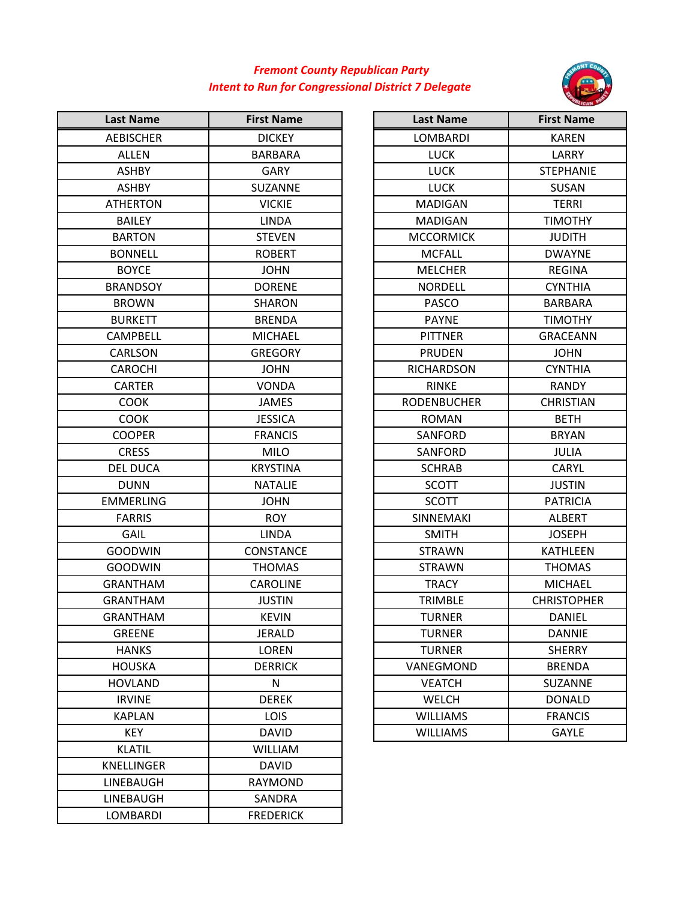## *Fremont County Republican Party Intent to Run for Congressional District 7 Delegate*



| <b>Last Name</b>  | <b>First Name</b> | <b>Last Name</b>   | <b>First Name</b>  |
|-------------------|-------------------|--------------------|--------------------|
| <b>AEBISCHER</b>  | <b>DICKEY</b>     | LOMBARDI           | <b>KAREN</b>       |
| <b>ALLEN</b>      | <b>BARBARA</b>    | <b>LUCK</b>        | LARRY              |
| <b>ASHBY</b>      | GARY              | <b>LUCK</b>        | <b>STEPHANIE</b>   |
| <b>ASHBY</b>      | SUZANNE           | <b>LUCK</b>        | <b>SUSAN</b>       |
| <b>ATHERTON</b>   | <b>VICKIE</b>     | <b>MADIGAN</b>     | <b>TERRI</b>       |
| <b>BAILEY</b>     | <b>LINDA</b>      | <b>MADIGAN</b>     | <b>TIMOTHY</b>     |
| <b>BARTON</b>     | <b>STEVEN</b>     | <b>MCCORMICK</b>   | <b>JUDITH</b>      |
| <b>BONNELL</b>    | <b>ROBERT</b>     | <b>MCFALL</b>      | <b>DWAYNE</b>      |
| <b>BOYCE</b>      | <b>JOHN</b>       | <b>MELCHER</b>     | <b>REGINA</b>      |
| <b>BRANDSOY</b>   | <b>DORENE</b>     | <b>NORDELL</b>     | <b>CYNTHIA</b>     |
| <b>BROWN</b>      | <b>SHARON</b>     | <b>PASCO</b>       | <b>BARBARA</b>     |
| <b>BURKETT</b>    | <b>BRENDA</b>     | <b>PAYNE</b>       | <b>TIMOTHY</b>     |
| CAMPBELL          | <b>MICHAEL</b>    | <b>PITTNER</b>     | <b>GRACEANN</b>    |
| CARLSON           | <b>GREGORY</b>    | <b>PRUDEN</b>      | <b>JOHN</b>        |
| <b>CAROCHI</b>    | <b>JOHN</b>       | <b>RICHARDSON</b>  | <b>CYNTHIA</b>     |
| <b>CARTER</b>     | <b>VONDA</b>      | <b>RINKE</b>       | <b>RANDY</b>       |
| <b>COOK</b>       | <b>JAMES</b>      | <b>RODENBUCHER</b> | <b>CHRISTIAN</b>   |
| <b>COOK</b>       | <b>JESSICA</b>    | <b>ROMAN</b>       | <b>BETH</b>        |
| <b>COOPER</b>     | <b>FRANCIS</b>    | SANFORD            | <b>BRYAN</b>       |
| <b>CRESS</b>      | <b>MILO</b>       | SANFORD            | <b>JULIA</b>       |
| <b>DEL DUCA</b>   | <b>KRYSTINA</b>   | <b>SCHRAB</b>      | <b>CARYL</b>       |
| <b>DUNN</b>       | <b>NATALIE</b>    | <b>SCOTT</b>       | <b>JUSTIN</b>      |
| <b>EMMERLING</b>  | <b>JOHN</b>       | <b>SCOTT</b>       | <b>PATRICIA</b>    |
| <b>FARRIS</b>     | <b>ROY</b>        | SINNEMAKI          | <b>ALBERT</b>      |
| GAIL              | <b>LINDA</b>      | <b>SMITH</b>       | <b>JOSEPH</b>      |
| <b>GOODWIN</b>    | <b>CONSTANCE</b>  | <b>STRAWN</b>      | <b>KATHLEEN</b>    |
| <b>GOODWIN</b>    | <b>THOMAS</b>     | <b>STRAWN</b>      | <b>THOMAS</b>      |
| <b>GRANTHAM</b>   | <b>CAROLINE</b>   | <b>TRACY</b>       | <b>MICHAEL</b>     |
| <b>GRANTHAM</b>   | <b>JUSTIN</b>     | TRIMBLE            | <b>CHRISTOPHER</b> |
| <b>GRANTHAM</b>   | <b>KEVIN</b>      | <b>TURNER</b>      | <b>DANIEL</b>      |
| <b>GREENE</b>     | <b>JERALD</b>     | <b>TURNER</b>      | <b>DANNIE</b>      |
| <b>HANKS</b>      | LOREN             | <b>TURNER</b>      | <b>SHERRY</b>      |
| <b>HOUSKA</b>     | <b>DERRICK</b>    | VANEGMOND          | <b>BRENDA</b>      |
| <b>HOVLAND</b>    | N                 | <b>VEATCH</b>      | SUZANNE            |
| <b>IRVINE</b>     | <b>DEREK</b>      | <b>WELCH</b>       | <b>DONALD</b>      |
| <b>KAPLAN</b>     | <b>LOIS</b>       | <b>WILLIAMS</b>    | <b>FRANCIS</b>     |
| <b>KEY</b>        | <b>DAVID</b>      | <b>WILLIAMS</b>    | <b>GAYLE</b>       |
| <b>KLATIL</b>     | <b>WILLIAM</b>    |                    |                    |
| <b>KNELLINGER</b> | <b>DAVID</b>      |                    |                    |
| LINEBAUGH         | <b>RAYMOND</b>    |                    |                    |
| LINEBAUGH         | SANDRA            |                    |                    |
| LOMBARDI          | <b>FREDERICK</b>  |                    |                    |

| <b>Last Name</b>  | <b>First Name</b>  |  |
|-------------------|--------------------|--|
| <b>LOMBARDI</b>   | <b>KAREN</b>       |  |
| <b>LUCK</b>       | LARRY              |  |
| <b>LUCK</b>       | <b>STEPHANIE</b>   |  |
| <b>LUCK</b>       | <b>SUSAN</b>       |  |
| <b>MADIGAN</b>    | TERRI              |  |
| MADIGAN           | <b>TIMOTHY</b>     |  |
| <b>MCCORMICK</b>  | <b>JUDITH</b>      |  |
| <b>MCFALL</b>     | <b>DWAYNE</b>      |  |
| <b>MELCHER</b>    | <b>REGINA</b>      |  |
| <b>NORDELL</b>    | <b>CYNTHIA</b>     |  |
| PASCO             | <b>BARBARA</b>     |  |
| <b>PAYNE</b>      | <b>TIMOTHY</b>     |  |
| <b>PITTNER</b>    | <b>GRACEANN</b>    |  |
| <b>PRUDEN</b>     | <b>JOHN</b>        |  |
| <b>RICHARDSON</b> | <b>CYNTHIA</b>     |  |
| <b>RINKE</b>      | <b>RANDY</b>       |  |
| RODENBUCHER       | <b>CHRISTIAN</b>   |  |
| <b>ROMAN</b>      | <b>BETH</b>        |  |
| SANFORD           | <b>BRYAN</b>       |  |
| SANFORD           | JULIA              |  |
| <b>SCHRAB</b>     | <b>CARYL</b>       |  |
| SCOTT             | JUSTIN             |  |
| <b>SCOTT</b>      | <b>PATRICIA</b>    |  |
| <b>SINNEMAKI</b>  | <b>ALBERT</b>      |  |
| SMITH             | <b>JOSEPH</b>      |  |
| STRAWN            | <b>KATHLEEN</b>    |  |
| <b>STRAWN</b>     | <b>THOMAS</b>      |  |
| <b>TRACY</b>      | <b>MICHAEL</b>     |  |
| <b>TRIMBLE</b>    | <b>CHRISTOPHER</b> |  |
| <b>TURNER</b>     | DANIEL             |  |
| <b>TURNER</b>     | <b>DANNIE</b>      |  |
| <b>TURNER</b>     | <b>SHERRY</b>      |  |
| VANEGMOND         | <b>BRENDA</b>      |  |
| VEATCH            | SUZANNE            |  |
| <b>WELCH</b>      | <b>DONALD</b>      |  |
| <b>WILLIAMS</b>   | <b>FRANCIS</b>     |  |
| <b>WILLIAMS</b>   | <b>GAYLE</b>       |  |
|                   |                    |  |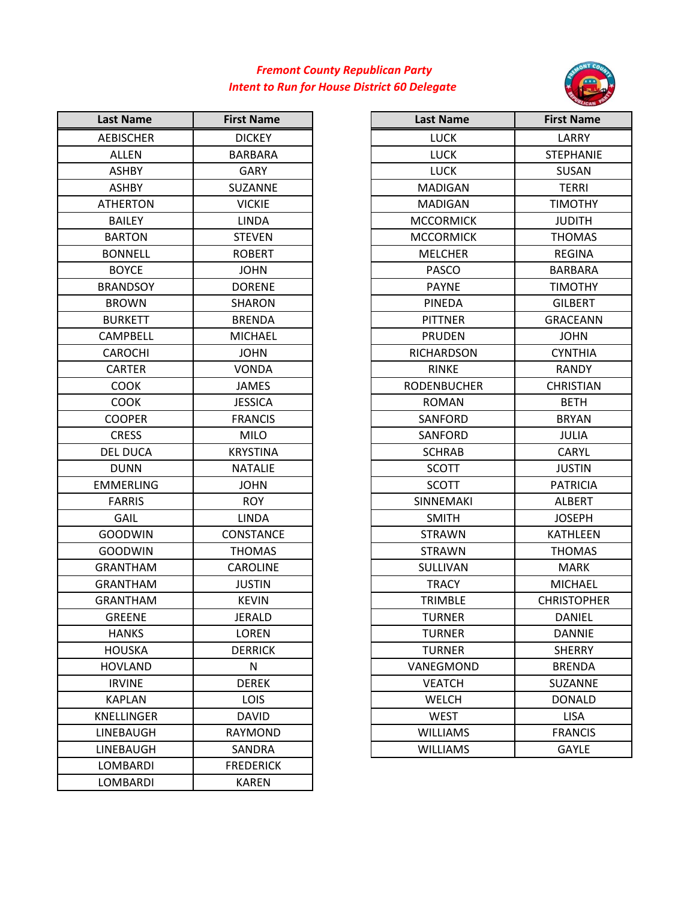## *Intent to Run for House District 60 Delegate Fremont County Republican Party*



| <b>Last Name</b>  | <b>First Name</b> | <b>Last Name</b>   | <b>First Na</b> |
|-------------------|-------------------|--------------------|-----------------|
| <b>AEBISCHER</b>  | <b>DICKEY</b>     | <b>LUCK</b>        | LARR            |
| <b>ALLEN</b>      | <b>BARBARA</b>    | <b>LUCK</b>        | <b>STEPHA</b>   |
| <b>ASHBY</b>      | <b>GARY</b>       | <b>LUCK</b>        | <b>SUSA</b>     |
| <b>ASHBY</b>      | <b>SUZANNE</b>    | <b>MADIGAN</b>     | <b>TERR</b>     |
| <b>ATHERTON</b>   | <b>VICKIE</b>     | <b>MADIGAN</b>     | <b>TIMOT</b>    |
| <b>BAILEY</b>     | <b>LINDA</b>      | <b>MCCORMICK</b>   | <b>JUDIT</b>    |
| <b>BARTON</b>     | <b>STEVEN</b>     | <b>MCCORMICK</b>   | <b>THOM</b>     |
| <b>BONNELL</b>    | <b>ROBERT</b>     | <b>MELCHER</b>     | <b>REGIN</b>    |
| <b>BOYCE</b>      | <b>JOHN</b>       | <b>PASCO</b>       | <b>BARBA</b>    |
| <b>BRANDSOY</b>   | <b>DORENE</b>     | <b>PAYNE</b>       | <b>TIMOT</b>    |
| <b>BROWN</b>      | <b>SHARON</b>     | <b>PINEDA</b>      | <b>GILBEI</b>   |
| <b>BURKETT</b>    | <b>BRENDA</b>     | <b>PITTNER</b>     | <b>GRACEA</b>   |
| CAMPBELL          | <b>MICHAEL</b>    | <b>PRUDEN</b>      | <b>JOHN</b>     |
| <b>CAROCHI</b>    | <b>JOHN</b>       | <b>RICHARDSON</b>  | <b>CYNTH</b>    |
| <b>CARTER</b>     | <b>VONDA</b>      | <b>RINKE</b>       | <b>RAND</b>     |
| <b>COOK</b>       | <b>JAMES</b>      | <b>RODENBUCHER</b> | <b>CHRIST</b>   |
| <b>COOK</b>       | <b>JESSICA</b>    | <b>ROMAN</b>       | <b>BETH</b>     |
| <b>COOPER</b>     | <b>FRANCIS</b>    | SANFORD            | <b>BRYA</b>     |
| <b>CRESS</b>      | <b>MILO</b>       | SANFORD            | <b>JULI/</b>    |
| <b>DEL DUCA</b>   | <b>KRYSTINA</b>   | <b>SCHRAB</b>      | <b>CARY</b>     |
| <b>DUNN</b>       | <b>NATALIE</b>    | <b>SCOTT</b>       | <b>JUSTI</b>    |
| <b>EMMERLING</b>  | <b>JOHN</b>       | <b>SCOTT</b>       | <b>PATRIC</b>   |
| <b>FARRIS</b>     | <b>ROY</b>        | SINNEMAKI          | <b>ALBEF</b>    |
| GAIL              | <b>LINDA</b>      | <b>SMITH</b>       | <b>JOSEP</b>    |
| <b>GOODWIN</b>    | CONSTANCE         | <b>STRAWN</b>      | <b>KATHLE</b>   |
| <b>GOODWIN</b>    | <b>THOMAS</b>     | <b>STRAWN</b>      | <b>THOM</b>     |
| <b>GRANTHAM</b>   | <b>CAROLINE</b>   | SULLIVAN           | <b>MAR</b>      |
| <b>GRANTHAM</b>   | <b>JUSTIN</b>     | <b>TRACY</b>       | <b>MICHA</b>    |
| <b>GRANTHAM</b>   | <b>KEVIN</b>      | <b>TRIMBLE</b>     | <b>CHRISTO</b>  |
| <b>GREENE</b>     | JERALD            | <b>TURNER</b>      | <b>DANIE</b>    |
| <b>HANKS</b>      | LOREN             | <b>TURNER</b>      | <b>DANN</b>     |
| <b>HOUSKA</b>     | <b>DERRICK</b>    | <b>TURNER</b>      | <b>SHERF</b>    |
| <b>HOVLAND</b>    | N                 | VANEGMOND          | <b>BREND</b>    |
| <b>IRVINE</b>     | <b>DEREK</b>      | <b>VEATCH</b>      | SUZAN           |
| <b>KAPLAN</b>     | <b>LOIS</b>       | <b>WELCH</b>       | <b>DONA</b>     |
| <b>KNELLINGER</b> | <b>DAVID</b>      | <b>WEST</b>        | <b>LISA</b>     |
| LINEBAUGH         | RAYMOND           | <b>WILLIAMS</b>    | <b>FRANO</b>    |
| LINEBAUGH         | SANDRA            | <b>WILLIAMS</b>    | GAYL            |
| LOMBARDI          | <b>FREDERICK</b>  |                    |                 |
| LOMBARDI          | <b>KAREN</b>      |                    |                 |

| <b>Last Name</b> | <b>First Name</b> | <b>Last Name</b>   | <b>First Name</b>  |
|------------------|-------------------|--------------------|--------------------|
| <b>AEBISCHER</b> | <b>DICKEY</b>     | <b>LUCK</b>        | LARRY              |
| <b>ALLEN</b>     | <b>BARBARA</b>    | <b>LUCK</b>        | <b>STEPHANIE</b>   |
| <b>ASHBY</b>     | <b>GARY</b>       | <b>LUCK</b>        | SUSAN              |
| <b>ASHBY</b>     | SUZANNE           | <b>MADIGAN</b>     | <b>TERRI</b>       |
| <b>ATHERTON</b>  | <b>VICKIE</b>     | <b>MADIGAN</b>     | <b>TIMOTHY</b>     |
| <b>BAILEY</b>    | <b>LINDA</b>      | <b>MCCORMICK</b>   | <b>JUDITH</b>      |
| <b>BARTON</b>    | <b>STEVEN</b>     | <b>MCCORMICK</b>   | <b>THOMAS</b>      |
| <b>BONNELL</b>   | <b>ROBERT</b>     | <b>MELCHER</b>     | <b>REGINA</b>      |
| <b>BOYCE</b>     | <b>JOHN</b>       | <b>PASCO</b>       | <b>BARBARA</b>     |
| <b>BRANDSOY</b>  | <b>DORENE</b>     | <b>PAYNE</b>       | <b>TIMOTHY</b>     |
| <b>BROWN</b>     | <b>SHARON</b>     | <b>PINEDA</b>      | <b>GILBERT</b>     |
| <b>BURKETT</b>   | <b>BRENDA</b>     | <b>PITTNER</b>     | <b>GRACEANN</b>    |
| <b>CAMPBELL</b>  | <b>MICHAEL</b>    | <b>PRUDEN</b>      | <b>JOHN</b>        |
| <b>CAROCHI</b>   | <b>JOHN</b>       | <b>RICHARDSON</b>  | <b>CYNTHIA</b>     |
| <b>CARTER</b>    | <b>VONDA</b>      | <b>RINKE</b>       | <b>RANDY</b>       |
| <b>COOK</b>      | <b>JAMES</b>      | <b>RODENBUCHER</b> | <b>CHRISTIAN</b>   |
| <b>COOK</b>      | <b>JESSICA</b>    | <b>ROMAN</b>       | <b>BETH</b>        |
| <b>COOPER</b>    | <b>FRANCIS</b>    | SANFORD            | <b>BRYAN</b>       |
| <b>CRESS</b>     | <b>MILO</b>       | <b>SANFORD</b>     | <b>JULIA</b>       |
| <b>DEL DUCA</b>  | <b>KRYSTINA</b>   | <b>SCHRAB</b>      | <b>CARYL</b>       |
| <b>DUNN</b>      | <b>NATALIE</b>    | <b>SCOTT</b>       | <b>JUSTIN</b>      |
| EMMERLING        | <b>JOHN</b>       | <b>SCOTT</b>       | <b>PATRICIA</b>    |
| <b>FARRIS</b>    | <b>ROY</b>        | SINNEMAKI          | <b>ALBERT</b>      |
| GAIL             | <b>LINDA</b>      | <b>SMITH</b>       | <b>JOSEPH</b>      |
| <b>GOODWIN</b>   | CONSTANCE         | <b>STRAWN</b>      | <b>KATHLEEN</b>    |
| <b>GOODWIN</b>   | <b>THOMAS</b>     | <b>STRAWN</b>      | <b>THOMAS</b>      |
| <b>GRANTHAM</b>  | <b>CAROLINE</b>   | <b>SULLIVAN</b>    | <b>MARK</b>        |
| <b>GRANTHAM</b>  | <b>JUSTIN</b>     | <b>TRACY</b>       | <b>MICHAEL</b>     |
| <b>GRANTHAM</b>  | <b>KEVIN</b>      | <b>TRIMBLE</b>     | <b>CHRISTOPHER</b> |
| <b>GREENE</b>    | <b>JERALD</b>     | <b>TURNER</b>      | DANIEL             |
| <b>HANKS</b>     | LOREN             | <b>TURNER</b>      | <b>DANNIE</b>      |
| <b>HOUSKA</b>    | <b>DERRICK</b>    | <b>TURNER</b>      | <b>SHERRY</b>      |
| <b>HOVLAND</b>   | N                 | VANEGMOND          | <b>BRENDA</b>      |
| <b>IRVINE</b>    | <b>DEREK</b>      | <b>VEATCH</b>      | SUZANNE            |
| <b>KAPLAN</b>    | <b>LOIS</b>       | <b>WELCH</b>       | <b>DONALD</b>      |
| KNELLINGER       | <b>DAVID</b>      | WEST               | <b>LISA</b>        |
| LINEBAUGH        | <b>RAYMOND</b>    | <b>WILLIAMS</b>    | <b>FRANCIS</b>     |
| LINEBAUGH        | SANDRA            | <b>WILLIAMS</b>    | <b>GAYLE</b>       |